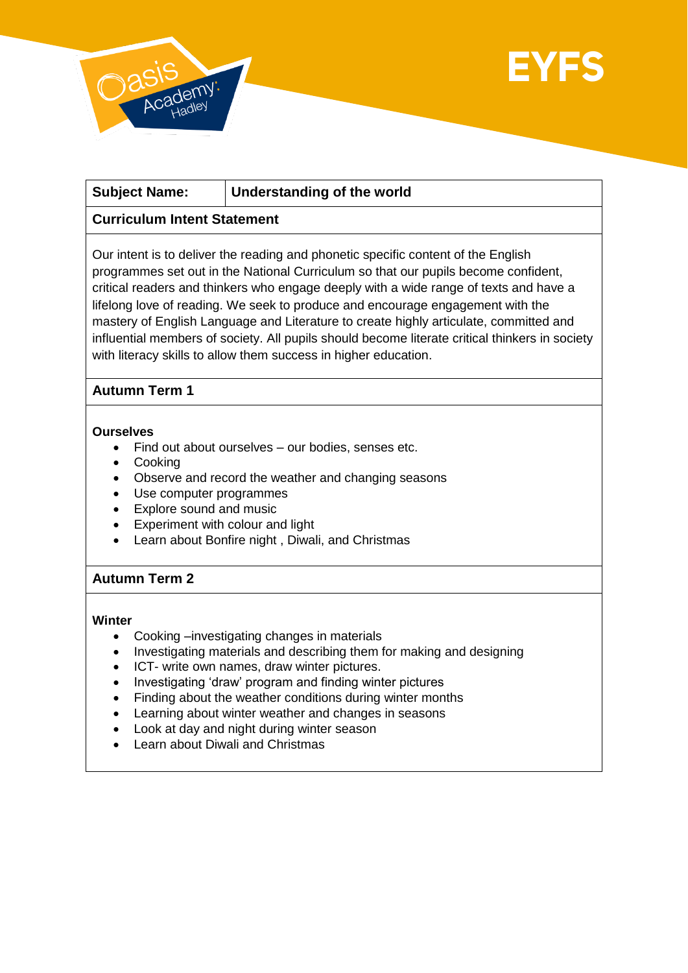

# **Subject Name: Understanding of the world**

# **Curriculum Intent Statement**

Our intent is to deliver the reading and phonetic specific content of the English programmes set out in the National Curriculum so that our pupils become confident, critical readers and thinkers who engage deeply with a wide range of texts and have a lifelong love of reading. We seek to produce and encourage engagement with the mastery of English Language and Literature to create highly articulate, committed and influential members of society. All pupils should become literate critical thinkers in society with literacy skills to allow them success in higher education.

# **Autumn Term 1**

## **Ourselves**

- Find out about ourselves our bodies, senses etc.
- Cooking
- Observe and record the weather and changing seasons
- Use computer programmes
- Explore sound and music
- Experiment with colour and light
- Learn about Bonfire night , Diwali, and Christmas

# **Autumn Term 2**

## **Winter**

- Cooking –investigating changes in materials
- Investigating materials and describing them for making and designing
- ICT- write own names, draw winter pictures.
- Investigating 'draw' program and finding winter pictures
- Finding about the weather conditions during winter months
- Learning about winter weather and changes in seasons
- Look at day and night during winter season
- Learn about Diwali and Christmas